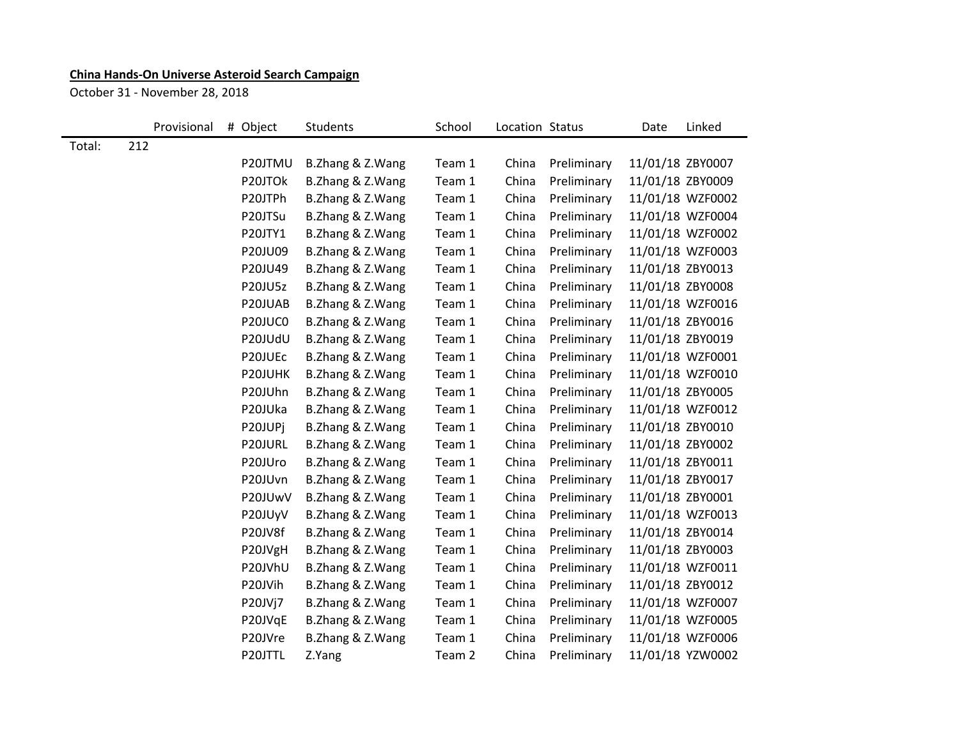## **China Hands-On Universe Asteroid Search Campaign**

October 31 - November 28, 2018

|        | Provisional | # Object       | Students         | School | Location Status |             | Date             | Linked           |
|--------|-------------|----------------|------------------|--------|-----------------|-------------|------------------|------------------|
| Total: | 212         |                |                  |        |                 |             |                  |                  |
|        |             | P20JTMU        | B.Zhang & Z.Wang | Team 1 | China           | Preliminary | 11/01/18 ZBY0007 |                  |
|        |             | P20JTOk        | B.Zhang & Z.Wang | Team 1 | China           | Preliminary | 11/01/18 ZBY0009 |                  |
|        |             | P20JTPh        | B.Zhang & Z.Wang | Team 1 | China           | Preliminary |                  | 11/01/18 WZF0002 |
|        |             | P20JTSu        | B.Zhang & Z.Wang | Team 1 | China           | Preliminary |                  | 11/01/18 WZF0004 |
|        |             | P20JTY1        | B.Zhang & Z.Wang | Team 1 | China           | Preliminary |                  | 11/01/18 WZF0002 |
|        |             | P20JU09        | B.Zhang & Z.Wang | Team 1 | China           | Preliminary |                  | 11/01/18 WZF0003 |
|        |             | P20JU49        | B.Zhang & Z.Wang | Team 1 | China           | Preliminary | 11/01/18 ZBY0013 |                  |
|        |             | <b>P20JU5z</b> | B.Zhang & Z.Wang | Team 1 | China           | Preliminary | 11/01/18 ZBY0008 |                  |
|        |             | P20JUAB        | B.Zhang & Z.Wang | Team 1 | China           | Preliminary |                  | 11/01/18 WZF0016 |
|        |             | P20JUC0        | B.Zhang & Z.Wang | Team 1 | China           | Preliminary | 11/01/18 ZBY0016 |                  |
|        |             | P20JUdU        | B.Zhang & Z.Wang | Team 1 | China           | Preliminary | 11/01/18 ZBY0019 |                  |
|        |             | P20JUEc        | B.Zhang & Z.Wang | Team 1 | China           | Preliminary |                  | 11/01/18 WZF0001 |
|        |             | P20JUHK        | B.Zhang & Z.Wang | Team 1 | China           | Preliminary |                  | 11/01/18 WZF0010 |
|        |             | P20JUhn        | B.Zhang & Z.Wang | Team 1 | China           | Preliminary | 11/01/18 ZBY0005 |                  |
|        |             | P20JUka        | B.Zhang & Z.Wang | Team 1 | China           | Preliminary |                  | 11/01/18 WZF0012 |
|        |             | P20JUPj        | B.Zhang & Z.Wang | Team 1 | China           | Preliminary | 11/01/18 ZBY0010 |                  |
|        |             | P20JURL        | B.Zhang & Z.Wang | Team 1 | China           | Preliminary | 11/01/18 ZBY0002 |                  |
|        |             | P20JUro        | B.Zhang & Z.Wang | Team 1 | China           | Preliminary | 11/01/18 ZBY0011 |                  |
|        |             | P20JUvn        | B.Zhang & Z.Wang | Team 1 | China           | Preliminary | 11/01/18 ZBY0017 |                  |
|        |             | P20JUwV        | B.Zhang & Z.Wang | Team 1 | China           | Preliminary | 11/01/18 ZBY0001 |                  |
|        |             | P20JUyV        | B.Zhang & Z.Wang | Team 1 | China           | Preliminary |                  | 11/01/18 WZF0013 |
|        |             | P20JV8f        | B.Zhang & Z.Wang | Team 1 | China           | Preliminary | 11/01/18 ZBY0014 |                  |
|        |             | P20JVgH        | B.Zhang & Z.Wang | Team 1 | China           | Preliminary | 11/01/18 ZBY0003 |                  |
|        |             | P20JVhU        | B.Zhang & Z.Wang | Team 1 | China           | Preliminary |                  | 11/01/18 WZF0011 |
|        |             | P20JVih        | B.Zhang & Z.Wang | Team 1 | China           | Preliminary | 11/01/18 ZBY0012 |                  |
|        |             | P20JVj7        | B.Zhang & Z.Wang | Team 1 | China           | Preliminary |                  | 11/01/18 WZF0007 |
|        |             | P20JVqE        | B.Zhang & Z.Wang | Team 1 | China           | Preliminary |                  | 11/01/18 WZF0005 |
|        |             | P20JVre        | B.Zhang & Z.Wang | Team 1 | China           | Preliminary |                  | 11/01/18 WZF0006 |
|        |             | P20JTTL        | Z.Yang           | Team 2 | China           | Preliminary |                  | 11/01/18 YZW0002 |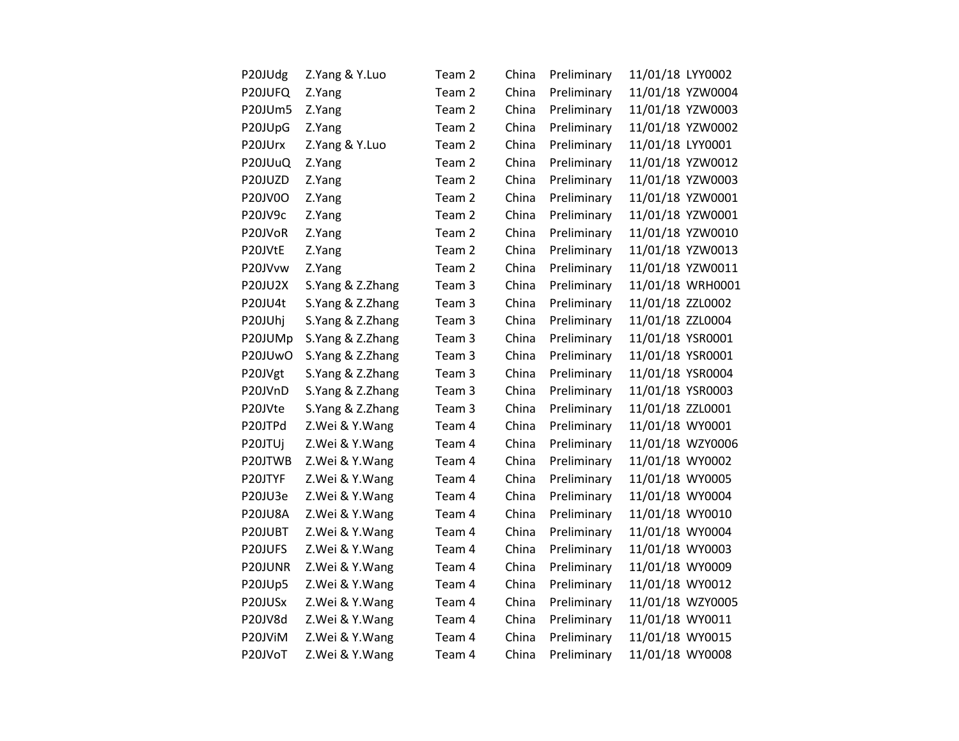| P20JUdg        | Z.Yang & Y.Luo   | Team 2            | China | Preliminary | 11/01/18 LYY0002 |
|----------------|------------------|-------------------|-------|-------------|------------------|
| P20JUFQ        | Z.Yang           | Team 2            | China | Preliminary | 11/01/18 YZW0004 |
| P20JUm5        | Z.Yang           | Team 2            | China | Preliminary | 11/01/18 YZW0003 |
| P20JUpG        | Z.Yang           | Team 2            | China | Preliminary | 11/01/18 YZW0002 |
| P20JUrx        | Z.Yang & Y.Luo   | Team 2            | China | Preliminary | 11/01/18 LYY0001 |
| P20JUuQ        | Z.Yang           | Team 2            | China | Preliminary | 11/01/18 YZW0012 |
| P20JUZD        | Z.Yang           | Team 2            | China | Preliminary | 11/01/18 YZW0003 |
| P20JV0O        | Z.Yang           | Team 2            | China | Preliminary | 11/01/18 YZW0001 |
| P20JV9c        | Z.Yang           | Team 2            | China | Preliminary | 11/01/18 YZW0001 |
| P20JVoR        | Z.Yang           | Team 2            | China | Preliminary | 11/01/18 YZW0010 |
| P20JVtE        | Z.Yang           | Team <sub>2</sub> | China | Preliminary | 11/01/18 YZW0013 |
| P20JVvw        | Z.Yang           | Team 2            | China | Preliminary | 11/01/18 YZW0011 |
| <b>P20JU2X</b> | S.Yang & Z.Zhang | Team 3            | China | Preliminary | 11/01/18 WRH0001 |
| P20JU4t        | S.Yang & Z.Zhang | Team 3            | China | Preliminary | 11/01/18 ZZL0002 |
| P20JUhj        | S.Yang & Z.Zhang | Team 3            | China | Preliminary | 11/01/18 ZZL0004 |
| P20JUMp        | S.Yang & Z.Zhang | Team 3            | China | Preliminary | 11/01/18 YSR0001 |
| P20JUwO        | S.Yang & Z.Zhang | Team 3            | China | Preliminary | 11/01/18 YSR0001 |
| P20JVgt        | S.Yang & Z.Zhang | Team 3            | China | Preliminary | 11/01/18 YSR0004 |
| P20JVnD        | S.Yang & Z.Zhang | Team 3            | China | Preliminary | 11/01/18 YSR0003 |
| P20JVte        | S.Yang & Z.Zhang | Team 3            | China | Preliminary | 11/01/18 ZZL0001 |
| P20JTPd        | Z.Wei & Y.Wang   | Team 4            | China | Preliminary | 11/01/18 WY0001  |
| P20JTUj        | Z.Wei & Y.Wang   | Team 4            | China | Preliminary | 11/01/18 WZY0006 |
| P20JTWB        | Z.Wei & Y.Wang   | Team 4            | China | Preliminary | 11/01/18 WY0002  |
| P20JTYF        | Z.Wei & Y.Wang   | Team 4            | China | Preliminary | 11/01/18 WY0005  |
| P20JU3e        | Z.Wei & Y.Wang   | Team 4            | China | Preliminary | 11/01/18 WY0004  |
| <b>P20JU8A</b> | Z.Wei & Y.Wang   | Team 4            | China | Preliminary | 11/01/18 WY0010  |
| P20JUBT        | Z.Wei & Y.Wang   | Team 4            | China | Preliminary | 11/01/18 WY0004  |
| P20JUFS        | Z.Wei & Y.Wang   | Team 4            | China | Preliminary | 11/01/18 WY0003  |
| P20JUNR        | Z.Wei & Y.Wang   | Team 4            | China | Preliminary | 11/01/18 WY0009  |
| P20JUp5        | Z.Wei & Y.Wang   | Team 4            | China | Preliminary | 11/01/18 WY0012  |
| P20JUSx        | Z.Wei & Y.Wang   | Team 4            | China | Preliminary | 11/01/18 WZY0005 |
| P20JV8d        | Z.Wei & Y.Wang   | Team 4            | China | Preliminary | 11/01/18 WY0011  |
| P20JViM        | Z.Wei & Y.Wang   | Team 4            | China | Preliminary | 11/01/18 WY0015  |
| P20JVoT        | Z.Wei & Y.Wang   | Team 4            | China | Preliminary | 11/01/18 WY0008  |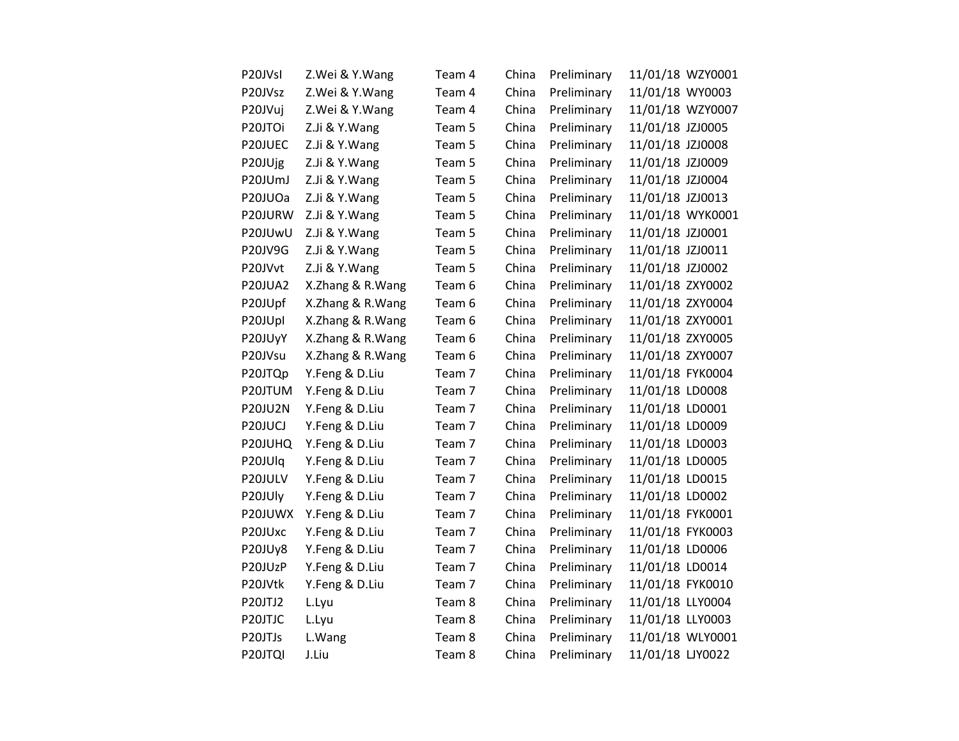| P20JVsI        | Z.Wei & Y.Wang   | Team 4 | China | Preliminary | 11/01/18 WZY0001 |
|----------------|------------------|--------|-------|-------------|------------------|
| P20JVsz        | Z.Wei & Y.Wang   | Team 4 | China | Preliminary | 11/01/18 WY0003  |
| P20JVuj        | Z.Wei & Y.Wang   | Team 4 | China | Preliminary | 11/01/18 WZY0007 |
| P20JTOi        | Z.Ji & Y.Wang    | Team 5 | China | Preliminary | 11/01/18 JZJ0005 |
| P20JUEC        | Z.Ji & Y.Wang    | Team 5 | China | Preliminary | 11/01/18 JZJ0008 |
| P20JUjg        | Z.Ji & Y.Wang    | Team 5 | China | Preliminary | 11/01/18 JZJ0009 |
| P20JUmJ        | Z.Ji & Y.Wang    | Team 5 | China | Preliminary | 11/01/18 JZJ0004 |
| P20JUOa        | Z.Ji & Y.Wang    | Team 5 | China | Preliminary | 11/01/18 JZJ0013 |
| P20JURW        | Z.Ji & Y.Wang    | Team 5 | China | Preliminary | 11/01/18 WYK0001 |
| P20JUwU        | Z.Ji & Y.Wang    | Team 5 | China | Preliminary | 11/01/18 JZJ0001 |
| P20JV9G        | Z.Ji & Y.Wang    | Team 5 | China | Preliminary | 11/01/18 JZJ0011 |
| P20JVvt        | Z.Ji & Y.Wang    | Team 5 | China | Preliminary | 11/01/18 JZJ0002 |
| P20JUA2        | X.Zhang & R.Wang | Team 6 | China | Preliminary | 11/01/18 ZXY0002 |
| P20JUpf        | X.Zhang & R.Wang | Team 6 | China | Preliminary | 11/01/18 ZXY0004 |
| P20JUpl        | X.Zhang & R.Wang | Team 6 | China | Preliminary | 11/01/18 ZXY0001 |
| P20JUyY        | X.Zhang & R.Wang | Team 6 | China | Preliminary | 11/01/18 ZXY0005 |
| P20JVsu        | X.Zhang & R.Wang | Team 6 | China | Preliminary | 11/01/18 ZXY0007 |
| P20JTQp        | Y.Feng & D.Liu   | Team 7 | China | Preliminary | 11/01/18 FYK0004 |
| P20JTUM        | Y.Feng & D.Liu   | Team 7 | China | Preliminary | 11/01/18 LD0008  |
| <b>P20JU2N</b> | Y.Feng & D.Liu   | Team 7 | China | Preliminary | 11/01/18 LD0001  |
| P20JUCJ        | Y.Feng & D.Liu   | Team 7 | China | Preliminary | 11/01/18 LD0009  |
| P20JUHQ        | Y.Feng & D.Liu   | Team 7 | China | Preliminary | 11/01/18 LD0003  |
| P20JUlq        | Y.Feng & D.Liu   | Team 7 | China | Preliminary | 11/01/18 LD0005  |
| P20JULV        | Y.Feng & D.Liu   | Team 7 | China | Preliminary | 11/01/18 LD0015  |
| P20JUly        | Y.Feng & D.Liu   | Team 7 | China | Preliminary | 11/01/18 LD0002  |
| P20JUWX        | Y.Feng & D.Liu   | Team 7 | China | Preliminary | 11/01/18 FYK0001 |
| P20JUxc        | Y.Feng & D.Liu   | Team 7 | China | Preliminary | 11/01/18 FYK0003 |
| P20JUy8        | Y.Feng & D.Liu   | Team 7 | China | Preliminary | 11/01/18 LD0006  |
| P20JUzP        | Y.Feng & D.Liu   | Team 7 | China | Preliminary | 11/01/18 LD0014  |
| P20JVtk        | Y.Feng & D.Liu   | Team 7 | China | Preliminary | 11/01/18 FYK0010 |
| P20JTJ2        | L.Lyu            | Team 8 | China | Preliminary | 11/01/18 LLY0004 |
| P20JTJC        | L.Lyu            | Team 8 | China | Preliminary | 11/01/18 LLY0003 |
| P20JTJs        | L.Wang           | Team 8 | China | Preliminary | 11/01/18 WLY0001 |
| P20JTQI        | J.Liu            | Team 8 | China | Preliminary | 11/01/18 LJY0022 |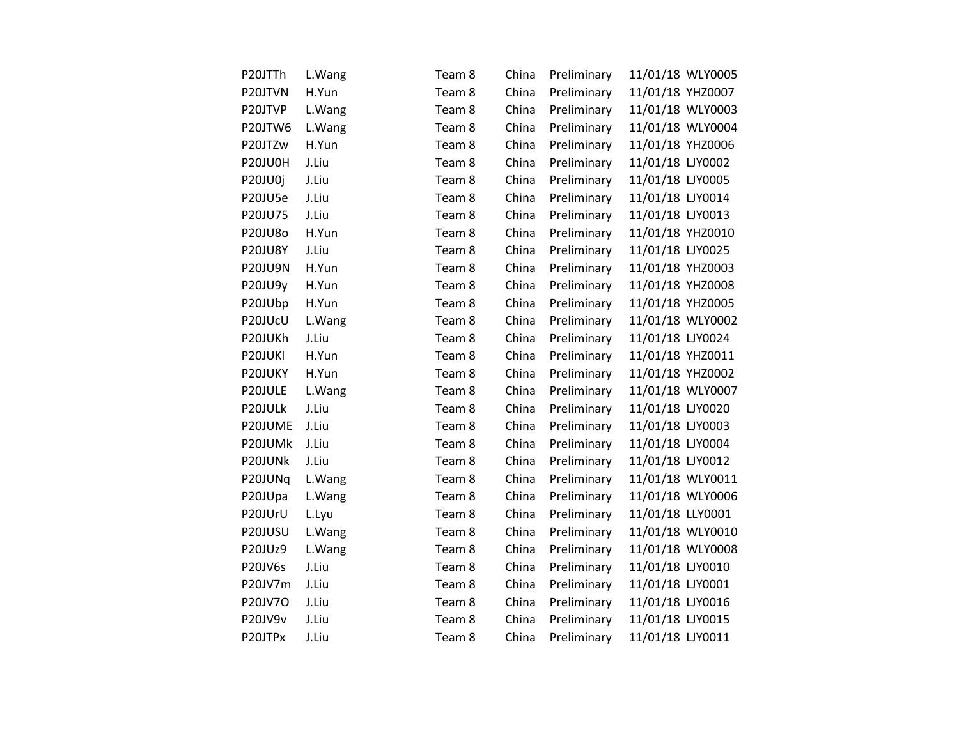| P20JTTh        | L.Wang | Team 8 | China | Preliminary | 11/01/18 WLY0005 |
|----------------|--------|--------|-------|-------------|------------------|
| P20JTVN        | H.Yun  | Team 8 | China | Preliminary | 11/01/18 YHZ0007 |
| P20JTVP        | L.Wang | Team 8 | China | Preliminary | 11/01/18 WLY0003 |
| P20JTW6        | L.Wang | Team 8 | China | Preliminary | 11/01/18 WLY0004 |
| P20JTZw        | H.Yun  | Team 8 | China | Preliminary | 11/01/18 YHZ0006 |
| P20JU0H        | J.Liu  | Team 8 | China | Preliminary | 11/01/18 LJY0002 |
| P20JU0j        | J.Liu  | Team 8 | China | Preliminary | 11/01/18 LJY0005 |
| P20JU5e        | J.Liu  | Team 8 | China | Preliminary | 11/01/18 LJY0014 |
| P20JU75        | J.Liu  | Team 8 | China | Preliminary | 11/01/18 LJY0013 |
| P20JU8o        | H.Yun  | Team 8 | China | Preliminary | 11/01/18 YHZ0010 |
| <b>P20JU8Y</b> | J.Liu  | Team 8 | China | Preliminary | 11/01/18 LJY0025 |
| <b>P20JU9N</b> | H.Yun  | Team 8 | China | Preliminary | 11/01/18 YHZ0003 |
| P20JU9y        | H.Yun  | Team 8 | China | Preliminary | 11/01/18 YHZ0008 |
| P20JUbp        | H.Yun  | Team 8 | China | Preliminary | 11/01/18 YHZ0005 |
| P20JUcU        | L.Wang | Team 8 | China | Preliminary | 11/01/18 WLY0002 |
| P20JUKh        | J.Liu  | Team 8 | China | Preliminary | 11/01/18 LJY0024 |
| P20JUKI        | H.Yun  | Team 8 | China | Preliminary | 11/01/18 YHZ0011 |
| P20JUKY        | H.Yun  | Team 8 | China | Preliminary | 11/01/18 YHZ0002 |
| P20JULE        | L.Wang | Team 8 | China | Preliminary | 11/01/18 WLY0007 |
| P20JULk        | J.Liu  | Team 8 | China | Preliminary | 11/01/18 LJY0020 |
| P20JUME        | J.Liu  | Team 8 | China | Preliminary | 11/01/18 LJY0003 |
| P20JUMk        | J.Liu  | Team 8 | China | Preliminary | 11/01/18 LJY0004 |
| P20JUNk        | J.Liu  | Team 8 | China | Preliminary | 11/01/18 LJY0012 |
| P20JUNq        | L.Wang | Team 8 | China | Preliminary | 11/01/18 WLY0011 |
| P20JUpa        | L.Wang | Team 8 | China | Preliminary | 11/01/18 WLY0006 |
| P20JUrU        | L.Lyu  | Team 8 | China | Preliminary | 11/01/18 LLY0001 |
| P20JUSU        | L.Wang | Team 8 | China | Preliminary | 11/01/18 WLY0010 |
| P20JUz9        | L.Wang | Team 8 | China | Preliminary | 11/01/18 WLY0008 |
| P20JV6s        | J.Liu  | Team 8 | China | Preliminary | 11/01/18 LJY0010 |
| P20JV7m        | J.Liu  | Team 8 | China | Preliminary | 11/01/18 LJY0001 |
| P20JV7O        | J.Liu  | Team 8 | China | Preliminary | 11/01/18 LJY0016 |
| P20JV9v        | J.Liu  | Team 8 | China | Preliminary | 11/01/18 LJY0015 |
| P20JTPx        | J.Liu  | Team 8 | China | Preliminary | 11/01/18 LJY0011 |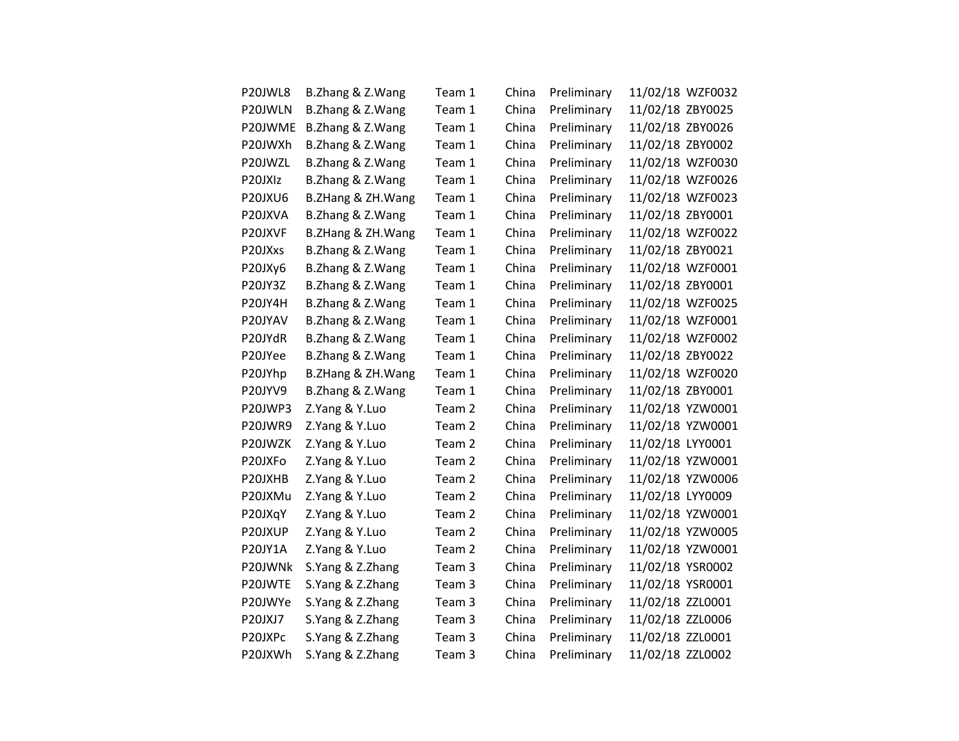| P20JWL8 | B.Zhang & Z.Wang  | Team 1 | China | Preliminary | 11/02/18 WZF0032 |
|---------|-------------------|--------|-------|-------------|------------------|
| P20JWLN | B.Zhang & Z.Wang  | Team 1 | China | Preliminary | 11/02/18 ZBY0025 |
| P20JWME | B.Zhang & Z.Wang  | Team 1 | China | Preliminary | 11/02/18 ZBY0026 |
| P20JWXh | B.Zhang & Z.Wang  | Team 1 | China | Preliminary | 11/02/18 ZBY0002 |
| P20JWZL | B.Zhang & Z.Wang  | Team 1 | China | Preliminary | 11/02/18 WZF0030 |
| P20JXIz | B.Zhang & Z.Wang  | Team 1 | China | Preliminary | 11/02/18 WZF0026 |
| P20JXU6 | B.ZHang & ZH.Wang | Team 1 | China | Preliminary | 11/02/18 WZF0023 |
| P20JXVA | B.Zhang & Z.Wang  | Team 1 | China | Preliminary | 11/02/18 ZBY0001 |
| P20JXVF | B.ZHang & ZH.Wang | Team 1 | China | Preliminary | 11/02/18 WZF0022 |
| P20JXxs | B.Zhang & Z.Wang  | Team 1 | China | Preliminary | 11/02/18 ZBY0021 |
| P20JXy6 | B.Zhang & Z.Wang  | Team 1 | China | Preliminary | 11/02/18 WZF0001 |
| P20JY3Z | B.Zhang & Z.Wang  | Team 1 | China | Preliminary | 11/02/18 ZBY0001 |
| P20JY4H | B.Zhang & Z.Wang  | Team 1 | China | Preliminary | 11/02/18 WZF0025 |
| P20JYAV | B.Zhang & Z.Wang  | Team 1 | China | Preliminary | 11/02/18 WZF0001 |
| P20JYdR | B.Zhang & Z.Wang  | Team 1 | China | Preliminary | 11/02/18 WZF0002 |
| P20JYee | B.Zhang & Z.Wang  | Team 1 | China | Preliminary | 11/02/18 ZBY0022 |
| P20JYhp | B.ZHang & ZH.Wang | Team 1 | China | Preliminary | 11/02/18 WZF0020 |
| P20JYV9 | B.Zhang & Z.Wang  | Team 1 | China | Preliminary | 11/02/18 ZBY0001 |
| P20JWP3 | Z.Yang & Y.Luo    | Team 2 | China | Preliminary | 11/02/18 YZW0001 |
| P20JWR9 | Z.Yang & Y.Luo    | Team 2 | China | Preliminary | 11/02/18 YZW0001 |
| P20JWZK | Z.Yang & Y.Luo    | Team 2 | China | Preliminary | 11/02/18 LYY0001 |
| P20JXFo | Z.Yang & Y.Luo    | Team 2 | China | Preliminary | 11/02/18 YZW0001 |
| P20JXHB | Z.Yang & Y.Luo    | Team 2 | China | Preliminary | 11/02/18 YZW0006 |
| P20JXMu | Z.Yang & Y.Luo    | Team 2 | China | Preliminary | 11/02/18 LYY0009 |
| P20JXqY | Z.Yang & Y.Luo    | Team 2 | China | Preliminary | 11/02/18 YZW0001 |
| P20JXUP | Z.Yang & Y.Luo    | Team 2 | China | Preliminary | 11/02/18 YZW0005 |
| P20JY1A | Z.Yang & Y.Luo    | Team 2 | China | Preliminary | 11/02/18 YZW0001 |
| P20JWNk | S.Yang & Z.Zhang  | Team 3 | China | Preliminary | 11/02/18 YSR0002 |
| P20JWTE | S.Yang & Z.Zhang  | Team 3 | China | Preliminary | 11/02/18 YSR0001 |
| P20JWYe | S.Yang & Z.Zhang  | Team 3 | China | Preliminary | 11/02/18 ZZL0001 |
| P20JXJ7 | S.Yang & Z.Zhang  | Team 3 | China | Preliminary | 11/02/18 ZZL0006 |
| P20JXPc | S.Yang & Z.Zhang  | Team 3 | China | Preliminary | 11/02/18 ZZL0001 |
| P20JXWh | S.Yang & Z.Zhang  | Team 3 | China | Preliminary | 11/02/18 ZZL0002 |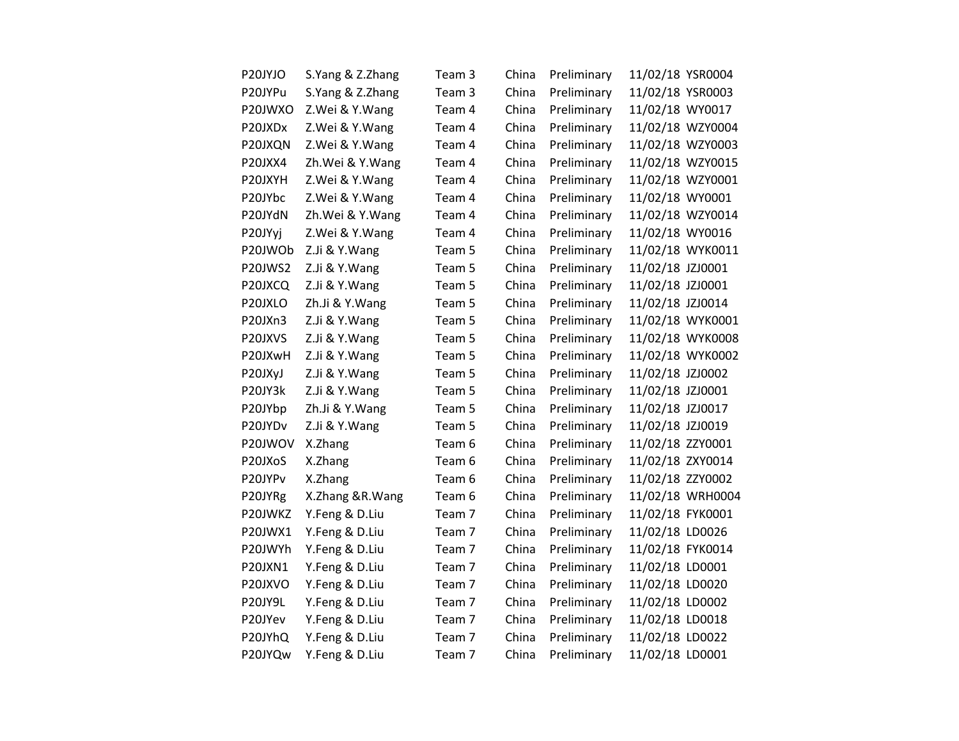| P20JYJO | S.Yang & Z.Zhang | Team 3 | China | Preliminary | 11/02/18 YSR0004 |                  |
|---------|------------------|--------|-------|-------------|------------------|------------------|
| P20JYPu | S.Yang & Z.Zhang | Team 3 | China | Preliminary | 11/02/18 YSR0003 |                  |
| P20JWXO | Z.Wei & Y.Wang   | Team 4 | China | Preliminary | 11/02/18 WY0017  |                  |
| P20JXDx | Z.Wei & Y.Wang   | Team 4 | China | Preliminary |                  | 11/02/18 WZY0004 |
| P20JXQN | Z.Wei & Y.Wang   | Team 4 | China | Preliminary |                  | 11/02/18 WZY0003 |
| P20JXX4 | Zh.Wei & Y.Wang  | Team 4 | China | Preliminary |                  | 11/02/18 WZY0015 |
| P20JXYH | Z.Wei & Y.Wang   | Team 4 | China | Preliminary |                  | 11/02/18 WZY0001 |
| P20JYbc | Z.Wei & Y.Wang   | Team 4 | China | Preliminary | 11/02/18 WY0001  |                  |
| P20JYdN | Zh.Wei & Y.Wang  | Team 4 | China | Preliminary |                  | 11/02/18 WZY0014 |
| P20JYyj | Z.Wei & Y.Wang   | Team 4 | China | Preliminary | 11/02/18 WY0016  |                  |
| P20JWOb | Z.Ji & Y.Wang    | Team 5 | China | Preliminary |                  | 11/02/18 WYK0011 |
| P20JWS2 | Z.Ji & Y.Wang    | Team 5 | China | Preliminary | 11/02/18 JZJ0001 |                  |
| P20JXCQ | Z.Ji & Y.Wang    | Team 5 | China | Preliminary | 11/02/18 JZJ0001 |                  |
| P20JXLO | Zh.Ji & Y.Wang   | Team 5 | China | Preliminary | 11/02/18 JZJ0014 |                  |
| P20JXn3 | Z.Ji & Y.Wang    | Team 5 | China | Preliminary |                  | 11/02/18 WYK0001 |
| P20JXVS | Z.Ji & Y.Wang    | Team 5 | China | Preliminary |                  | 11/02/18 WYK0008 |
| P20JXwH | Z.Ji & Y.Wang    | Team 5 | China | Preliminary |                  | 11/02/18 WYK0002 |
| P20JXyJ | Z.Ji & Y.Wang    | Team 5 | China | Preliminary | 11/02/18 JZJ0002 |                  |
| P20JY3k | Z.Ji & Y.Wang    | Team 5 | China | Preliminary | 11/02/18 JZJ0001 |                  |
| P20JYbp | Zh.Ji & Y.Wang   | Team 5 | China | Preliminary | 11/02/18 JZJ0017 |                  |
| P20JYDv | Z.Ji & Y.Wang    | Team 5 | China | Preliminary | 11/02/18 JZJ0019 |                  |
| P20JWOV | X.Zhang          | Team 6 | China | Preliminary | 11/02/18 ZZY0001 |                  |
| P20JXoS | X.Zhang          | Team 6 | China | Preliminary | 11/02/18 ZXY0014 |                  |
| P20JYPv | X.Zhang          | Team 6 | China | Preliminary | 11/02/18 ZZY0002 |                  |
| P20JYRg | X.Zhang &R.Wang  | Team 6 | China | Preliminary |                  | 11/02/18 WRH0004 |
| P20JWKZ | Y.Feng & D.Liu   | Team 7 | China | Preliminary | 11/02/18 FYK0001 |                  |
| P20JWX1 | Y.Feng & D.Liu   | Team 7 | China | Preliminary | 11/02/18 LD0026  |                  |
| P20JWYh | Y.Feng & D.Liu   | Team 7 | China | Preliminary | 11/02/18 FYK0014 |                  |
| P20JXN1 | Y.Feng & D.Liu   | Team 7 | China | Preliminary | 11/02/18 LD0001  |                  |
| P20JXVO | Y.Feng & D.Liu   | Team 7 | China | Preliminary | 11/02/18 LD0020  |                  |
| P20JY9L | Y.Feng & D.Liu   | Team 7 | China | Preliminary | 11/02/18 LD0002  |                  |
| P20JYev | Y.Feng & D.Liu   | Team 7 | China | Preliminary | 11/02/18 LD0018  |                  |
| P20JYhQ | Y.Feng & D.Liu   | Team 7 | China | Preliminary | 11/02/18 LD0022  |                  |
| P20JYQw | Y.Feng & D.Liu   | Team 7 | China | Preliminary | 11/02/18 LD0001  |                  |